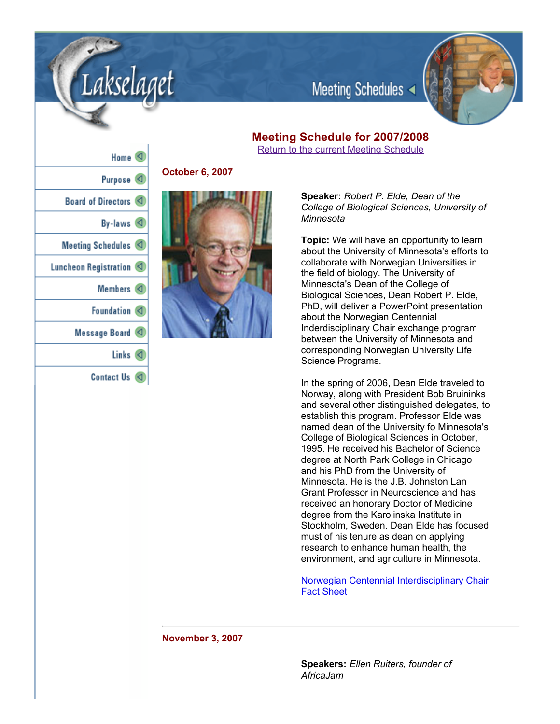

Meeting Schedules

# **Meeting Schedule for 2007/2008** hedule **h**

|  |  | Return to the current Meeting Sci |  |
|--|--|-----------------------------------|--|
|  |  |                                   |  |

| $Home \leq$             |
|-------------------------|
| Purpose $\triangleleft$ |
| Board of Directors <    |
| By-laws $\triangleleft$ |
| Meeting Schedules <     |
| Luncheon Registration < |
| Members <               |
| Foundation <            |
| Message Board           |
| Links $\lhd$            |
| <b>Contact Us</b><br>◁  |

akselaaet

**October 6, 2007**



**Speaker:** *Robert P. Elde, Dean of the College of Biological Sciences, University of Minnesota*

**Topic:** We will have an opportunity to learn about the University of Minnesota's efforts to collaborate with Norwegian Universities in the field of biology. The University of Minnesota's Dean of the College of Biological Sciences, Dean Robert P. Elde, PhD, will deliver a PowerPoint presentation about the Norwegian Centennial Inderdisciplinary Chair exchange program between the University of Minnesota and corresponding Norwegian University Life Science Programs.

In the spring of 2006, Dean Elde traveled to Norway, along with President Bob Bruininks and several other distinguished delegates, to establish this program. Professor Elde was named dean of the University fo Minnesota's College of Biological Sciences in October, 1995. He received his Bachelor of Science degree at North Park College in Chicago and his PhD from the University of Minnesota. He is the J.B. Johnston Lan Grant Professor in Neuroscience and has received an honorary Doctor of Medicine degree from the Karolinska Institute in Stockholm, Sweden. Dean Elde has focused must of his tenure as dean on applying research to enhance human health, the environment, and agriculture in Minnesota.

Norwegian Centennial Interdisciplinary Chair Fact Sheet

**November 3, 2007**

**Speakers:** *Ellen Ruiters, founder of AfricaJam*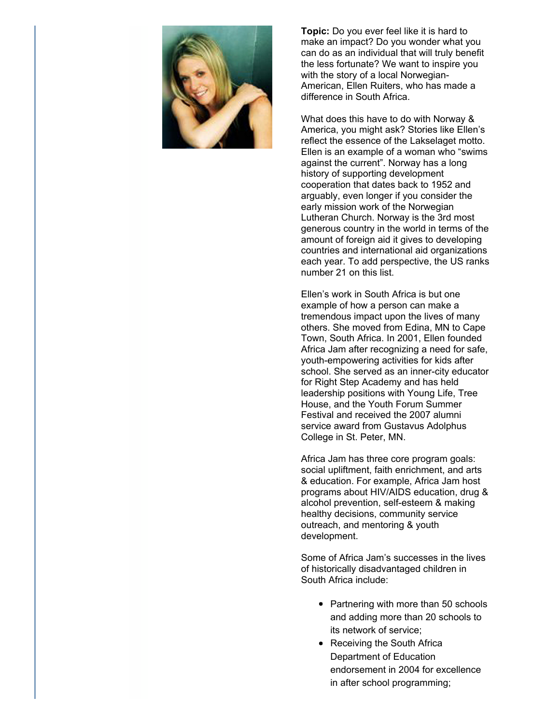

**Topic:** Do you ever feel like it is hard to make an impact? Do you wonder what you can do as an individual that will truly benefit the less fortunate? We want to inspire you with the story of a local Norwegian-American, Ellen Ruiters, who has made a difference in South Africa.

What does this have to do with Norway & America, you might ask? Stories like Ellen's reflect the essence of the Lakselaget motto. Ellen is an example of a woman who "swims against the current". Norway has a long history of supporting development cooperation that dates back to 1952 and arguably, even longer if you consider the early mission work of the Norwegian Lutheran Church. Norway is the 3rd most generous country in the world in terms of the amount of foreign aid it gives to developing countries and international aid organizations each year. To add perspective, the US ranks number 21 on this list.

Ellen's work in South Africa is but one example of how a person can make a tremendous impact upon the lives of many others. She moved from Edina, MN to Cape Town, South Africa. In 2001, Ellen founded Africa Jam after recognizing a need for safe, youth-empowering activities for kids after school. She served as an inner-city educator for Right Step Academy and has held leadership positions with Young Life, Tree House, and the Youth Forum Summer Festival and received the 2007 alumni service award from Gustavus Adolphus College in St. Peter, MN.

Africa Jam has three core program goals: social upliftment, faith enrichment, and arts & education. For example, Africa Jam host programs about HIV/AIDS education, drug & alcohol prevention, self-esteem & making healthy decisions, community service outreach, and mentoring & youth development.

Some of Africa Jam's successes in the lives of historically disadvantaged children in South Africa include:

- Partnering with more than 50 schools and adding more than 20 schools to its network of service;
- Receiving the South Africa Department of Education endorsement in 2004 for excellence in after school programming;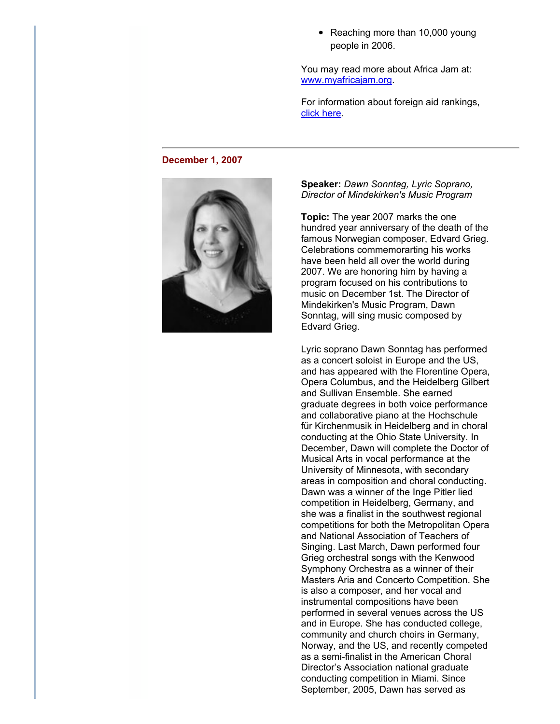• Reaching more than 10,000 young people in 2006.

You may read more about Africa Jam at: www.myafricajam.org.

For information about foreign aid rankings, click here.

### **December 1, 2007**



**Speaker:** *Dawn Sonntag, Lyric Soprano, Director of Mindekirken's Music Program*

**Topic:** The year 2007 marks the one hundred year anniversary of the death of the famous Norwegian composer, Edvard Grieg. Celebrations commemorarting his works have been held all over the world during 2007. We are honoring him by having a program focused on his contributions to music on December 1st. The Director of Mindekirken's Music Program, Dawn Sonntag, will sing music composed by Edvard Grieg.

Lyric soprano Dawn Sonntag has performed as a concert soloist in Europe and the US, and has appeared with the Florentine Opera, Opera Columbus, and the Heidelberg Gilbert and Sullivan Ensemble. She earned graduate degrees in both voice performance and collaborative piano at the Hochschule für Kirchenmusik in Heidelberg and in choral conducting at the Ohio State University. In December, Dawn will complete the Doctor of Musical Arts in vocal performance at the University of Minnesota, with secondary areas in composition and choral conducting. Dawn was a winner of the Inge Pitler lied competition in Heidelberg, Germany, and she was a finalist in the southwest regional competitions for both the Metropolitan Opera and National Association of Teachers of Singing. Last March, Dawn performed four Grieg orchestral songs with the Kenwood Symphony Orchestra as a winner of their Masters Aria and Concerto Competition. She is also a composer, and her vocal and instrumental compositions have been performed in several venues across the US and in Europe. She has conducted college, community and church choirs in Germany, Norway, and the US, and recently competed as a semi-finalist in the American Choral Director's Association national graduate conducting competition in Miami. Since September, 2005, Dawn has served as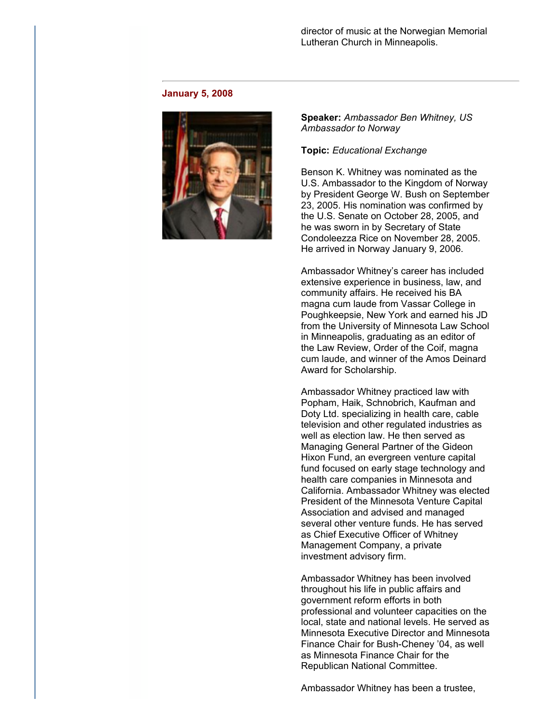## director of music at the Norwegian Memorial Lutheran Church in Minneapolis.

#### **January 5, 2008**



**Speaker:** *Ambassador Ben Whitney, US Ambassador to Norway*

### **Topic:** *Educational Exchange*

Benson K. Whitney was nominated as the U.S. Ambassador to the Kingdom of Norway by President George W. Bush on September 23, 2005. His nomination was confirmed by the U.S. Senate on October 28, 2005, and he was sworn in by Secretary of State Condoleezza Rice on November 28, 2005. He arrived in Norway January 9, 2006.

Ambassador Whitney's career has included extensive experience in business, law, and community affairs. He received his BA magna cum laude from Vassar College in Poughkeepsie, New York and earned his JD from the University of Minnesota Law School in Minneapolis, graduating as an editor of the Law Review, Order of the Coif, magna cum laude, and winner of the Amos Deinard Award for Scholarship.

Ambassador Whitney practiced law with Popham, Haik, Schnobrich, Kaufman and Doty Ltd. specializing in health care, cable television and other regulated industries as well as election law. He then served as Managing General Partner of the Gideon Hixon Fund, an evergreen venture capital fund focused on early stage technology and health care companies in Minnesota and California. Ambassador Whitney was elected President of the Minnesota Venture Capital Association and advised and managed several other venture funds. He has served as Chief Executive Officer of Whitney Management Company, a private investment advisory firm.

Ambassador Whitney has been involved throughout his life in public affairs and government reform efforts in both professional and volunteer capacities on the local, state and national levels. He served as Minnesota Executive Director and Minnesota Finance Chair for Bush-Cheney '04, as well as Minnesota Finance Chair for the Republican National Committee.

Ambassador Whitney has been a trustee,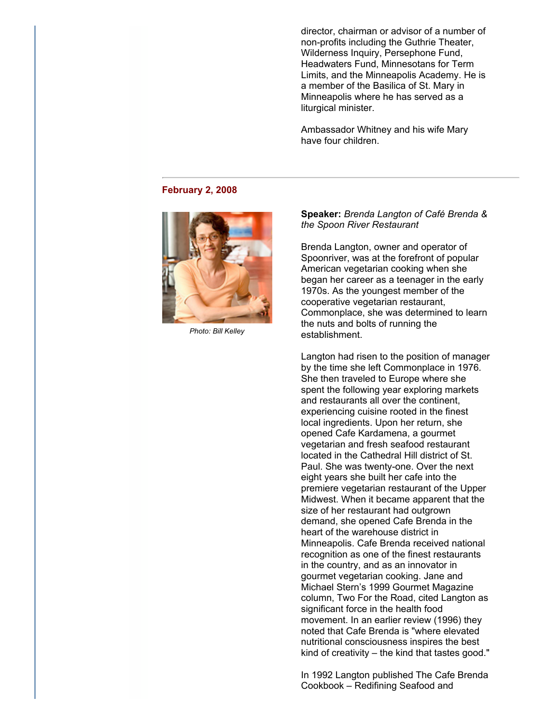director, chairman or advisor of a number of non-profits including the Guthrie Theater, Wilderness Inquiry, Persephone Fund, Headwaters Fund, Minnesotans for Term Limits, and the Minneapolis Academy. He is a member of the Basilica of St. Mary in Minneapolis where he has served as a liturgical minister.

Ambassador Whitney and his wife Mary have four children.

#### **February 2, 2008**



*Photo: Bill Kelley*

**Speaker:** *Brenda Langton of Café Brenda & the Spoon River Restaurant*

Brenda Langton, owner and operator of Spoonriver, was at the forefront of popular American vegetarian cooking when she began her career as a teenager in the early 1970s. As the youngest member of the cooperative vegetarian restaurant, Commonplace, she was determined to learn the nuts and bolts of running the establishment.

Langton had risen to the position of manager by the time she left Commonplace in 1976. She then traveled to Europe where she spent the following year exploring markets and restaurants all over the continent, experiencing cuisine rooted in the finest local ingredients. Upon her return, she opened Cafe Kardamena, a gourmet vegetarian and fresh seafood restaurant located in the Cathedral Hill district of St. Paul. She was twenty-one. Over the next eight years she built her cafe into the premiere vegetarian restaurant of the Upper Midwest. When it became apparent that the size of her restaurant had outgrown demand, she opened Cafe Brenda in the heart of the warehouse district in Minneapolis. Cafe Brenda received national recognition as one of the finest restaurants in the country, and as an innovator in gourmet vegetarian cooking. Jane and Michael Stern's 1999 Gourmet Magazine column, Two For the Road, cited Langton as significant force in the health food movement. In an earlier review (1996) they noted that Cafe Brenda is "where elevated nutritional consciousness inspires the best kind of creativity – the kind that tastes good."

In 1992 Langton published The Cafe Brenda Cookbook – Redifining Seafood and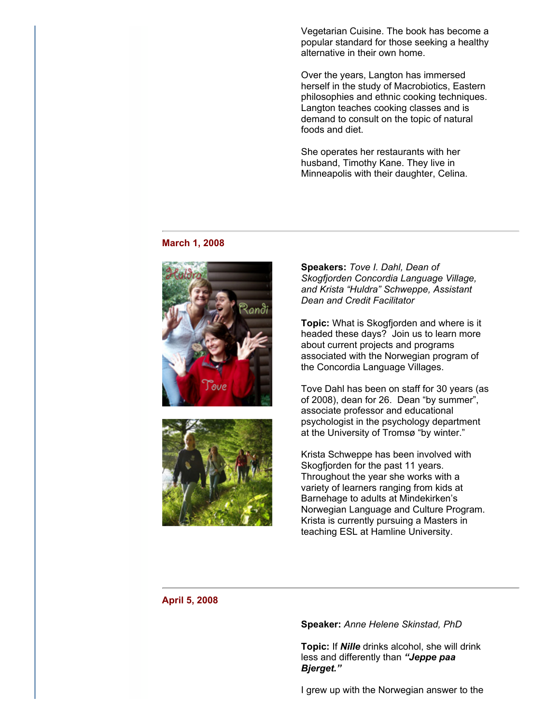Vegetarian Cuisine. The book has become a popular standard for those seeking a healthy alternative in their own home.

Over the years, Langton has immersed herself in the study of Macrobiotics, Eastern philosophies and ethnic cooking techniques. Langton teaches cooking classes and is demand to consult on the topic of natural foods and diet.

She operates her restaurants with her husband, Timothy Kane. They live in Minneapolis with their daughter, Celina.

#### **March 1, 2008**





**Speakers:** *Tove I. Dahl, Dean of Skogfjorden Concordia Language Village, and Krista "Huldra" Schweppe, Assistant Dean and Credit Facilitator*

**Topic:** What is Skogfjorden and where is it headed these days? Join us to learn more about current projects and programs associated with the Norwegian program of the Concordia Language Villages.

Tove Dahl has been on staff for 30 years (as of 2008), dean for 26. Dean "by summer", associate professor and educational psychologist in the psychology department at the University of Tromsø "by winter."

Krista Schweppe has been involved with Skogfjorden for the past 11 years. Throughout the year she works with a variety of learners ranging from kids at Barnehage to adults at Mindekirken's Norwegian Language and Culture Program. Krista is currently pursuing a Masters in teaching ESL at Hamline University.

### **April 5, 2008**

**Speaker:** *Anne Helene Skinstad, PhD*

**Topic:** If *Nille* drinks alcohol, she will drink less and differently than *"Jeppe paa Bjerget."*

I grew up with the Norwegian answer to the